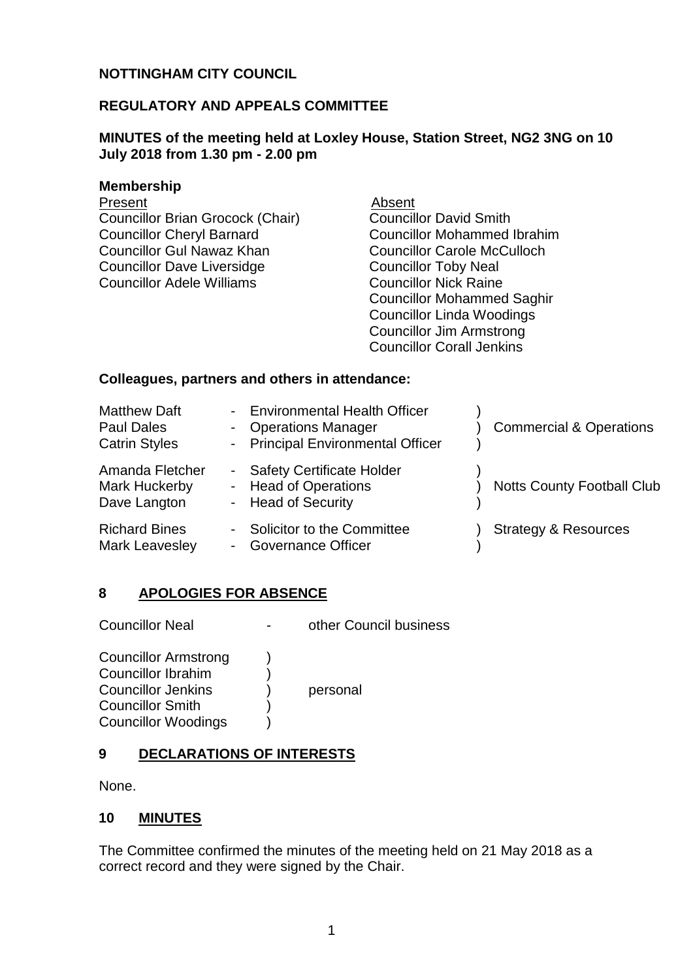## **NOTTINGHAM CITY COUNCIL**

### **REGULATORY AND APPEALS COMMITTEE**

### **MINUTES of the meeting held at Loxley House, Station Street, NG2 3NG on 10 July 2018 from 1.30 pm - 2.00 pm**

#### **Membership**

Present Absent Councillor Brian Grocock (Chair) Councillor Cheryl Barnard Councillor Gul Nawaz Khan Councillor Dave Liversidge Councillor Adele Williams

Councillor David Smith Councillor Mohammed Ibrahim Councillor Carole McCulloch Councillor Toby Neal Councillor Nick Raine Councillor Mohammed Saghir Councillor Linda Woodings Councillor Jim Armstrong Councillor Corall Jenkins

#### **Colleagues, partners and others in attendance:**

| <b>Matthew Daft</b><br><b>Paul Dales</b><br><b>Catrin Styles</b> | - Environmental Health Officer<br>- Operations Manager<br>- Principal Environmental Officer | <b>Commercial &amp; Operations</b> |
|------------------------------------------------------------------|---------------------------------------------------------------------------------------------|------------------------------------|
| Amanda Fletcher<br>Mark Huckerby<br>Dave Langton                 | - Safety Certificate Holder<br>- Head of Operations<br>- Head of Security                   | <b>Notts County Football Club</b>  |
| <b>Richard Bines</b><br><b>Mark Leavesley</b>                    | - Solicitor to the Committee<br><b>Governance Officer</b><br>$\sim$                         | <b>Strategy &amp; Resources</b>    |

#### **8 APOLOGIES FOR ABSENCE**

Councillor Neal **-** other Council business

Councillor Armstrong (b) Councillor Ibrahim ) Councillor Jenkins (b) personal Councillor Smith ) Councillor Woodings (a)

# **9 DECLARATIONS OF INTERESTS**

None.

#### **10 MINUTES**

The Committee confirmed the minutes of the meeting held on 21 May 2018 as a correct record and they were signed by the Chair.